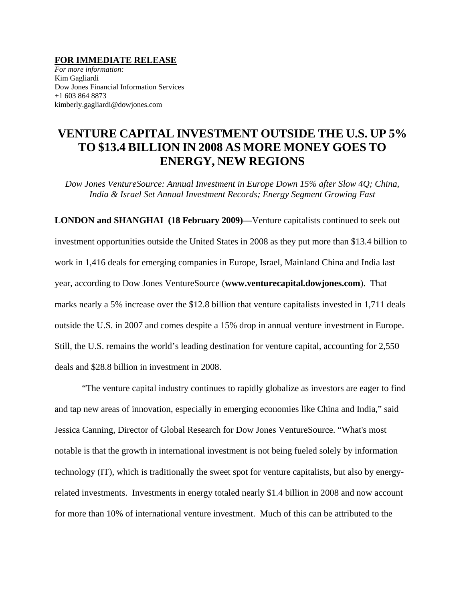## **FOR IMMEDIATE RELEASE**

*For more information:*  Kim Gagliardi Dow Jones Financial Information Services +1 603 864 8873 kimberly.gagliardi@dowjones.com

# **VENTURE CAPITAL INVESTMENT OUTSIDE THE U.S. UP 5% TO \$13.4 BILLION IN 2008 AS MORE MONEY GOES TO ENERGY, NEW REGIONS**

*Dow Jones VentureSource: Annual Investment in Europe Down 15% after Slow 4Q; China, India & Israel Set Annual Investment Records; Energy Segment Growing Fast* 

**LONDON and SHANGHAI (18 February 2009)—**Venture capitalists continued to seek out investment opportunities outside the United States in 2008 as they put more than \$13.4 billion to work in 1,416 deals for emerging companies in Europe, Israel, Mainland China and India last year, according to Dow Jones VentureSource (**www.venturecapital.dowjones.com**). That marks nearly a 5% increase over the \$12.8 billion that venture capitalists invested in 1,711 deals outside the U.S. in 2007 and comes despite a 15% drop in annual venture investment in Europe. Still, the U.S. remains the world's leading destination for venture capital, accounting for 2,550 deals and \$28.8 billion in investment in 2008.

"The venture capital industry continues to rapidly globalize as investors are eager to find and tap new areas of innovation, especially in emerging economies like China and India," said Jessica Canning, Director of Global Research for Dow Jones VentureSource. "What's most notable is that the growth in international investment is not being fueled solely by information technology (IT), which is traditionally the sweet spot for venture capitalists, but also by energyrelated investments. Investments in energy totaled nearly \$1.4 billion in 2008 and now account for more than 10% of international venture investment. Much of this can be attributed to the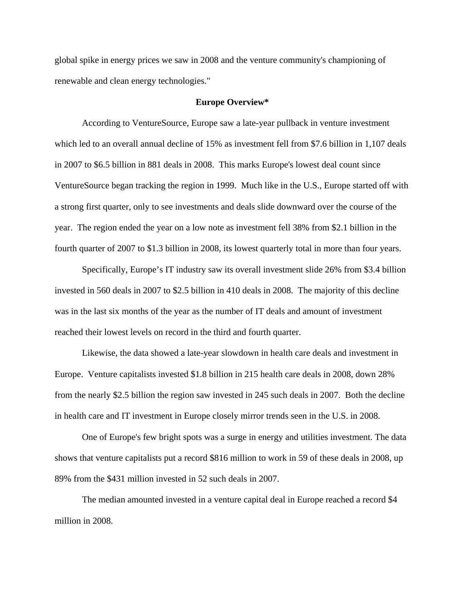global spike in energy prices we saw in 2008 and the venture community's championing of renewable and clean energy technologies."

## **Europe Overview\***

According to VentureSource, Europe saw a late-year pullback in venture investment which led to an overall annual decline of 15% as investment fell from \$7.6 billion in 1,107 deals in 2007 to \$6.5 billion in 881 deals in 2008. This marks Europe's lowest deal count since VentureSource began tracking the region in 1999. Much like in the U.S., Europe started off with a strong first quarter, only to see investments and deals slide downward over the course of the year. The region ended the year on a low note as investment fell 38% from \$2.1 billion in the fourth quarter of 2007 to \$1.3 billion in 2008, its lowest quarterly total in more than four years.

Specifically, Europe's IT industry saw its overall investment slide 26% from \$3.4 billion invested in 560 deals in 2007 to \$2.5 billion in 410 deals in 2008. The majority of this decline was in the last six months of the year as the number of IT deals and amount of investment reached their lowest levels on record in the third and fourth quarter.

Likewise, the data showed a late-year slowdown in health care deals and investment in Europe. Venture capitalists invested \$1.8 billion in 215 health care deals in 2008, down 28% from the nearly \$2.5 billion the region saw invested in 245 such deals in 2007. Both the decline in health care and IT investment in Europe closely mirror trends seen in the U.S. in 2008.

One of Europe's few bright spots was a surge in energy and utilities investment. The data shows that venture capitalists put a record \$816 million to work in 59 of these deals in 2008, up 89% from the \$431 million invested in 52 such deals in 2007.

The median amounted invested in a venture capital deal in Europe reached a record \$4 million in 2008.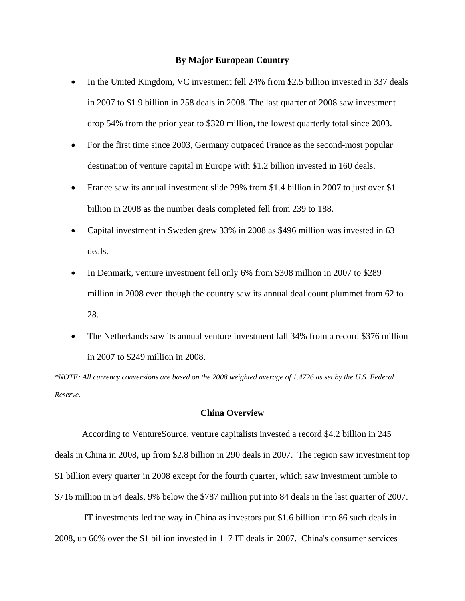## **By Major European Country**

- In the United Kingdom, VC investment fell 24% from \$2.5 billion invested in 337 deals in 2007 to \$1.9 billion in 258 deals in 2008. The last quarter of 2008 saw investment drop 54% from the prior year to \$320 million, the lowest quarterly total since 2003.
- For the first time since 2003, Germany outpaced France as the second-most popular destination of venture capital in Europe with \$1.2 billion invested in 160 deals.
- France saw its annual investment slide 29% from \$1.4 billion in 2007 to just over \$1 billion in 2008 as the number deals completed fell from 239 to 188.
- Capital investment in Sweden grew 33% in 2008 as \$496 million was invested in 63 deals.
- In Denmark, venture investment fell only 6% from \$308 million in 2007 to \$289 million in 2008 even though the country saw its annual deal count plummet from 62 to 28.
- The Netherlands saw its annual venture investment fall 34% from a record \$376 million in 2007 to \$249 million in 2008.

*\*NOTE: All currency conversions are based on the 2008 weighted average of 1.4726 as set by the U.S. Federal Reserve.* 

## **China Overview**

According to VentureSource, venture capitalists invested a record \$4.2 billion in 245 deals in China in 2008, up from \$2.8 billion in 290 deals in 2007. The region saw investment top \$1 billion every quarter in 2008 except for the fourth quarter, which saw investment tumble to \$716 million in 54 deals, 9% below the \$787 million put into 84 deals in the last quarter of 2007.

 IT investments led the way in China as investors put \$1.6 billion into 86 such deals in 2008, up 60% over the \$1 billion invested in 117 IT deals in 2007. China's consumer services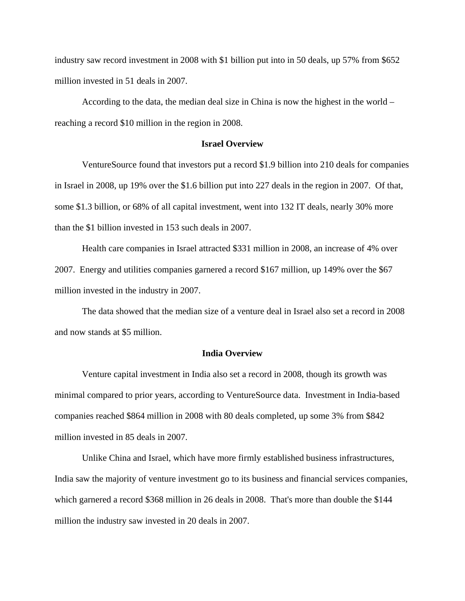industry saw record investment in 2008 with \$1 billion put into in 50 deals, up 57% from \$652 million invested in 51 deals in 2007.

According to the data, the median deal size in China is now the highest in the world – reaching a record \$10 million in the region in 2008.

## **Israel Overview**

VentureSource found that investors put a record \$1.9 billion into 210 deals for companies in Israel in 2008, up 19% over the \$1.6 billion put into 227 deals in the region in 2007. Of that, some \$1.3 billion, or 68% of all capital investment, went into 132 IT deals, nearly 30% more than the \$1 billion invested in 153 such deals in 2007.

Health care companies in Israel attracted \$331 million in 2008, an increase of 4% over 2007. Energy and utilities companies garnered a record \$167 million, up 149% over the \$67 million invested in the industry in 2007.

The data showed that the median size of a venture deal in Israel also set a record in 2008 and now stands at \$5 million.

## **India Overview**

Venture capital investment in India also set a record in 2008, though its growth was minimal compared to prior years, according to VentureSource data. Investment in India-based companies reached \$864 million in 2008 with 80 deals completed, up some 3% from \$842 million invested in 85 deals in 2007.

Unlike China and Israel, which have more firmly established business infrastructures, India saw the majority of venture investment go to its business and financial services companies, which garnered a record \$368 million in 26 deals in 2008. That's more than double the \$144 million the industry saw invested in 20 deals in 2007.